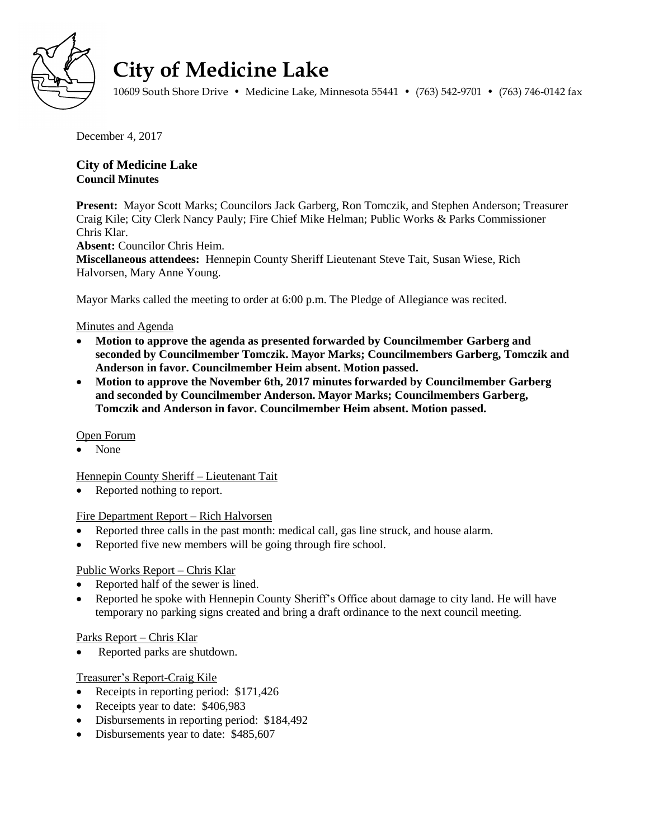

# **City of Medicine Lake**

10609 South Shore Drive • Medicine Lake, Minnesota 55441 • (763) 542-9701 • (763) 746-0142 fax

December 4, 2017

# **City of Medicine Lake Council Minutes**

**Present:** Mayor Scott Marks; Councilors Jack Garberg, Ron Tomczik, and Stephen Anderson; Treasurer Craig Kile; City Clerk Nancy Pauly; Fire Chief Mike Helman; Public Works & Parks Commissioner Chris Klar.

**Absent:** Councilor Chris Heim.

**Miscellaneous attendees:** Hennepin County Sheriff Lieutenant Steve Tait, Susan Wiese, Rich Halvorsen, Mary Anne Young.

Mayor Marks called the meeting to order at 6:00 p.m. The Pledge of Allegiance was recited.

## Minutes and Agenda

- **Motion to approve the agenda as presented forwarded by Councilmember Garberg and seconded by Councilmember Tomczik. Mayor Marks; Councilmembers Garberg, Tomczik and Anderson in favor. Councilmember Heim absent. Motion passed.**
- **Motion to approve the November 6th, 2017 minutes forwarded by Councilmember Garberg and seconded by Councilmember Anderson. Mayor Marks; Councilmembers Garberg, Tomczik and Anderson in favor. Councilmember Heim absent. Motion passed.**

### Open Forum

None

Hennepin County Sheriff – Lieutenant Tait

Reported nothing to report.

### Fire Department Report – Rich Halvorsen

- Reported three calls in the past month: medical call, gas line struck, and house alarm.
- Reported five new members will be going through fire school.

## Public Works Report – Chris Klar

- Reported half of the sewer is lined.
- Reported he spoke with Hennepin County Sheriff's Office about damage to city land. He will have temporary no parking signs created and bring a draft ordinance to the next council meeting.

### Parks Report – Chris Klar

Reported parks are shutdown.

## Treasurer's Report-Craig Kile

- Receipts in reporting period: \$171,426
- Receipts year to date: \$406,983
- Disbursements in reporting period: \$184,492
- Disbursements year to date: \$485,607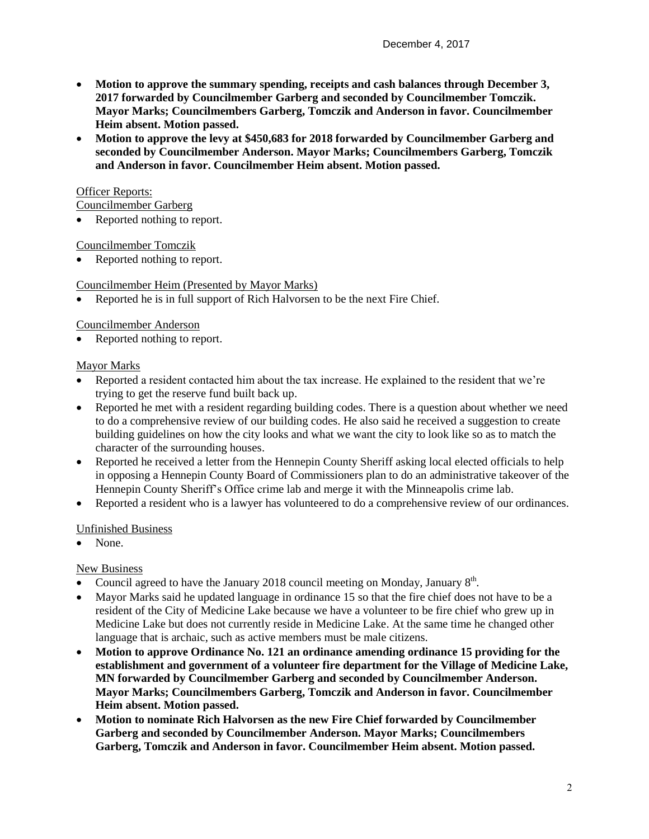- **Motion to approve the summary spending, receipts and cash balances through December 3, 2017 forwarded by Councilmember Garberg and seconded by Councilmember Tomczik. Mayor Marks; Councilmembers Garberg, Tomczik and Anderson in favor. Councilmember Heim absent. Motion passed.**
- **Motion to approve the levy at \$450,683 for 2018 forwarded by Councilmember Garberg and seconded by Councilmember Anderson. Mayor Marks; Councilmembers Garberg, Tomczik and Anderson in favor. Councilmember Heim absent. Motion passed.**

## **Officer Reports:**

Councilmember Garberg

• Reported nothing to report.

Councilmember Tomczik

• Reported nothing to report.

## Councilmember Heim (Presented by Mayor Marks)

Reported he is in full support of Rich Halvorsen to be the next Fire Chief.

### Councilmember Anderson

Reported nothing to report.

## Mayor Marks

- Reported a resident contacted him about the tax increase. He explained to the resident that we're trying to get the reserve fund built back up.
- Reported he met with a resident regarding building codes. There is a question about whether we need to do a comprehensive review of our building codes. He also said he received a suggestion to create building guidelines on how the city looks and what we want the city to look like so as to match the character of the surrounding houses.
- Reported he received a letter from the Hennepin County Sheriff asking local elected officials to help in opposing a Hennepin County Board of Commissioners plan to do an administrative takeover of the Hennepin County Sheriff's Office crime lab and merge it with the Minneapolis crime lab.
- Reported a resident who is a lawyer has volunteered to do a comprehensive review of our ordinances.

### Unfinished Business

• None.

### New Business

- Council agreed to have the January 2018 council meeting on Monday, January  $8<sup>th</sup>$ .
- Mayor Marks said he updated language in ordinance 15 so that the fire chief does not have to be a resident of the City of Medicine Lake because we have a volunteer to be fire chief who grew up in Medicine Lake but does not currently reside in Medicine Lake. At the same time he changed other language that is archaic, such as active members must be male citizens.
- **Motion to approve Ordinance No. 121 an ordinance amending ordinance 15 providing for the establishment and government of a volunteer fire department for the Village of Medicine Lake, MN forwarded by Councilmember Garberg and seconded by Councilmember Anderson. Mayor Marks; Councilmembers Garberg, Tomczik and Anderson in favor. Councilmember Heim absent. Motion passed.**
- **Motion to nominate Rich Halvorsen as the new Fire Chief forwarded by Councilmember Garberg and seconded by Councilmember Anderson. Mayor Marks; Councilmembers Garberg, Tomczik and Anderson in favor. Councilmember Heim absent. Motion passed.**